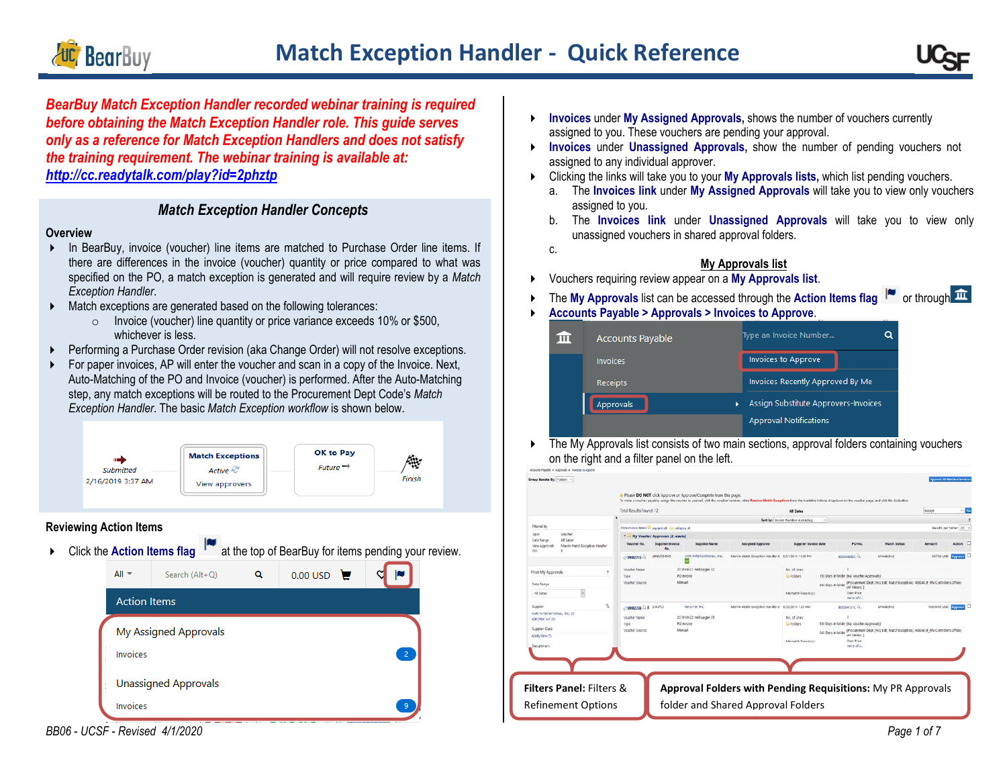



*BearBuy Match Exception Handler recorded webinar training is required before obtaining the Match Exception Handler role. This guide serves only as a reference for Match Exception Handlers and does not satisfy the training requirement. The webinar training is available at: <http://cc.readytalk.com/play?id=2phztp>*

# *Match Exception Handler Concepts*

#### **Overview**

- In BearBuy, invoice (voucher) line items are matched to Purchase Order line items. If there are differences in the invoice (voucher) quantity or price compared to what was specified on the PO, a match exception is generated and will require review by a *Match Exception Handler*.
- Match exceptions are generated based on the following tolerances:
	- o Invoice (voucher) line quantity or price variance exceeds 10% or \$500, whichever is less.
- Performing a Purchase Order revision (aka Change Order) will not resolve exceptions.
- For paper invoices, AP will enter the voucher and scan in a copy of the Invoice. Next, Auto-Matching of the PO and Invoice (voucher) is performed. After the Auto-Matching step, any match exceptions will be routed to the Procurement Dept Code's *Match Exception Handler*. The basic *Match Exception workflow* is shown below.



## **Reviewing Action Items**

- 
- ▶ Click the **Action Items flag** T at the top of BearBuy for items pending your review.



*BB06 - UCSF - Revised 4/1/2020 Page 1 of 7*

- **Invoices** under **My Assigned Approvals,** shows the number of vouchers currently assigned to you. These vouchers are pending your approval.
- **Invoices** under **Unassigned Approvals,** show the number of pending vouchers not assigned to any individual approver.
- Clicking the links will take you to your **My Approvals lists,** which list pending vouchers.
	- a. The **Invoices link** under **My Assigned Approvals** will take you to view only vouchers assigned to you.
	- b. The **Invoices link** under **Unassigned Approvals** will take you to view only unassigned vouchers in shared approval folders.
	- c.

# **My Approvals list**

- Vouchers requiring review appear on a **My Approvals list**.
- The My Approvals list can be accessed through the Action Items flag <sup>1</sup> or through  $\widehat{\mathbf{m}}$
- **Accounts Payable > Approvals > Invoices to Approve**.

| <b>Accounts Payable</b> |   | Type an Invoice Number               | Ο |
|-------------------------|---|--------------------------------------|---|
| <b>Invoices</b>         |   | <b>Invoices to Approve</b>           |   |
| <b>Receipts</b>         |   | Invoices Recently Approved By Me     |   |
| Approvals               | ٠ | Assign Substitute Approvers-Invoices |   |
|                         |   | <b>Approval Notifications</b>        |   |

 $\blacktriangleright$  The My Approvals list consists of two main sections, approval folders containing vouchers on the right and a filter panel on the left.

| Sert by: Invoice Number Ascending<br>$\sim$<br>Filtered by<br>Hoeinveice detein the woned all. The collages all<br>Results per folder: 20 %<br>type<br><b><i>Voicher</i></b><br>4 My Voucher Approvals [2 results]<br>Date Range:<br>All Dates<br>PO No.<br><b>Supplier Invoice</b><br><b>Supplier Name</b><br><b>Assigned Approver</b><br>Supplier Invoice date<br><b>Match Status</b><br>Voucher No.<br><b>Arnowrt</b><br>Marvin Match Exception Handler<br>View Approvals<br><b>Ha</b><br>Ford<br>appropriate info<br>0000754545<br>WWW. INTERNATIONAL. INC.<br>Marvin Match Exception Handler & 6/21/2018 11:56 PM<br>387.00 USD<br>Unmulched<br>- 59002712<br>2018-06-21 melassigne 02<br>Voucher Name<br>No. of Unes:<br>Filter My Approvals<br>×<br>150 Days in folder (My voucher Acorovals)<br>PO micice<br>Cir Folders<br>Tipit<br><b>Minual</b><br><b>Voucher Source:</b><br>(Procurement Dept Sleg Edit: Match Exception); 408040 (F FIN Controllers Office).<br>Date Ronce<br>640 Days in folder<br>All Values) 3<br>V<br>Over Price<br>Monatch Reason(c):<br>All Dates<br>more info.<br>T.<br>Supplier<br>2 59002739 以 8 2348923<br>AERICITIEK INC.<br>Marva Match Exception Handler &<br>6/22/2010 1:20 AM<br>special forcing<br>Unmabilitied<br>10,000.00 USD 2.000000<br>VWR INTERNATIONAL, INC. (7)<br>2018-06-22 melasagee 25<br>Voicher hanke<br>No. of Lines:<br>ASPORTER INC (7)<br>PO invoice<br><b>Ein Foldlers</b><br>633 Days in folder (My voucher Accrovab)<br>Type<br>Supplier Class<br>Minuil<br>VOIKBAY SOURCE<br>(Procurement Dept (Reg Edit, Match Exception); 408040 (F Fina Controllers Office);<br><b>GAO Days in folder</b><br>(All Values) ]<br>Ability One (T)<br>Over Price<br>Monatch Reponsibility<br>Department<br>more info.<br><b>Approval Folders with Pending Requisitions: My PR Approvals</b> |  | Total Results Found: 12 |  |  | AB Dates |  |  | <b>Assign</b> | G.        |
|------------------------------------------------------------------------------------------------------------------------------------------------------------------------------------------------------------------------------------------------------------------------------------------------------------------------------------------------------------------------------------------------------------------------------------------------------------------------------------------------------------------------------------------------------------------------------------------------------------------------------------------------------------------------------------------------------------------------------------------------------------------------------------------------------------------------------------------------------------------------------------------------------------------------------------------------------------------------------------------------------------------------------------------------------------------------------------------------------------------------------------------------------------------------------------------------------------------------------------------------------------------------------------------------------------------------------------------------------------------------------------------------------------------------------------------------------------------------------------------------------------------------------------------------------------------------------------------------------------------------------------------------------------------------------------------------------------------------------------------------------------------------------------------------------------------------------------------------|--|-------------------------|--|--|----------|--|--|---------------|-----------|
|                                                                                                                                                                                                                                                                                                                                                                                                                                                                                                                                                                                                                                                                                                                                                                                                                                                                                                                                                                                                                                                                                                                                                                                                                                                                                                                                                                                                                                                                                                                                                                                                                                                                                                                                                                                                                                                |  |                         |  |  |          |  |  |               |           |
|                                                                                                                                                                                                                                                                                                                                                                                                                                                                                                                                                                                                                                                                                                                                                                                                                                                                                                                                                                                                                                                                                                                                                                                                                                                                                                                                                                                                                                                                                                                                                                                                                                                                                                                                                                                                                                                |  |                         |  |  |          |  |  |               |           |
|                                                                                                                                                                                                                                                                                                                                                                                                                                                                                                                                                                                                                                                                                                                                                                                                                                                                                                                                                                                                                                                                                                                                                                                                                                                                                                                                                                                                                                                                                                                                                                                                                                                                                                                                                                                                                                                |  |                         |  |  |          |  |  |               |           |
|                                                                                                                                                                                                                                                                                                                                                                                                                                                                                                                                                                                                                                                                                                                                                                                                                                                                                                                                                                                                                                                                                                                                                                                                                                                                                                                                                                                                                                                                                                                                                                                                                                                                                                                                                                                                                                                |  |                         |  |  |          |  |  |               | Action    |
|                                                                                                                                                                                                                                                                                                                                                                                                                                                                                                                                                                                                                                                                                                                                                                                                                                                                                                                                                                                                                                                                                                                                                                                                                                                                                                                                                                                                                                                                                                                                                                                                                                                                                                                                                                                                                                                |  |                         |  |  |          |  |  |               | Account 1 |
|                                                                                                                                                                                                                                                                                                                                                                                                                                                                                                                                                                                                                                                                                                                                                                                                                                                                                                                                                                                                                                                                                                                                                                                                                                                                                                                                                                                                                                                                                                                                                                                                                                                                                                                                                                                                                                                |  |                         |  |  |          |  |  |               |           |
|                                                                                                                                                                                                                                                                                                                                                                                                                                                                                                                                                                                                                                                                                                                                                                                                                                                                                                                                                                                                                                                                                                                                                                                                                                                                                                                                                                                                                                                                                                                                                                                                                                                                                                                                                                                                                                                |  |                         |  |  |          |  |  |               |           |
|                                                                                                                                                                                                                                                                                                                                                                                                                                                                                                                                                                                                                                                                                                                                                                                                                                                                                                                                                                                                                                                                                                                                                                                                                                                                                                                                                                                                                                                                                                                                                                                                                                                                                                                                                                                                                                                |  |                         |  |  |          |  |  |               |           |
|                                                                                                                                                                                                                                                                                                                                                                                                                                                                                                                                                                                                                                                                                                                                                                                                                                                                                                                                                                                                                                                                                                                                                                                                                                                                                                                                                                                                                                                                                                                                                                                                                                                                                                                                                                                                                                                |  |                         |  |  |          |  |  |               |           |
|                                                                                                                                                                                                                                                                                                                                                                                                                                                                                                                                                                                                                                                                                                                                                                                                                                                                                                                                                                                                                                                                                                                                                                                                                                                                                                                                                                                                                                                                                                                                                                                                                                                                                                                                                                                                                                                |  |                         |  |  |          |  |  |               |           |
|                                                                                                                                                                                                                                                                                                                                                                                                                                                                                                                                                                                                                                                                                                                                                                                                                                                                                                                                                                                                                                                                                                                                                                                                                                                                                                                                                                                                                                                                                                                                                                                                                                                                                                                                                                                                                                                |  |                         |  |  |          |  |  |               |           |
|                                                                                                                                                                                                                                                                                                                                                                                                                                                                                                                                                                                                                                                                                                                                                                                                                                                                                                                                                                                                                                                                                                                                                                                                                                                                                                                                                                                                                                                                                                                                                                                                                                                                                                                                                                                                                                                |  |                         |  |  |          |  |  |               |           |
|                                                                                                                                                                                                                                                                                                                                                                                                                                                                                                                                                                                                                                                                                                                                                                                                                                                                                                                                                                                                                                                                                                                                                                                                                                                                                                                                                                                                                                                                                                                                                                                                                                                                                                                                                                                                                                                |  |                         |  |  |          |  |  |               |           |
|                                                                                                                                                                                                                                                                                                                                                                                                                                                                                                                                                                                                                                                                                                                                                                                                                                                                                                                                                                                                                                                                                                                                                                                                                                                                                                                                                                                                                                                                                                                                                                                                                                                                                                                                                                                                                                                |  |                         |  |  |          |  |  |               |           |
|                                                                                                                                                                                                                                                                                                                                                                                                                                                                                                                                                                                                                                                                                                                                                                                                                                                                                                                                                                                                                                                                                                                                                                                                                                                                                                                                                                                                                                                                                                                                                                                                                                                                                                                                                                                                                                                |  |                         |  |  |          |  |  |               |           |
| <b>Filters Panel: Filters &amp;</b>                                                                                                                                                                                                                                                                                                                                                                                                                                                                                                                                                                                                                                                                                                                                                                                                                                                                                                                                                                                                                                                                                                                                                                                                                                                                                                                                                                                                                                                                                                                                                                                                                                                                                                                                                                                                            |  |                         |  |  |          |  |  |               |           |
|                                                                                                                                                                                                                                                                                                                                                                                                                                                                                                                                                                                                                                                                                                                                                                                                                                                                                                                                                                                                                                                                                                                                                                                                                                                                                                                                                                                                                                                                                                                                                                                                                                                                                                                                                                                                                                                |  |                         |  |  |          |  |  |               |           |
|                                                                                                                                                                                                                                                                                                                                                                                                                                                                                                                                                                                                                                                                                                                                                                                                                                                                                                                                                                                                                                                                                                                                                                                                                                                                                                                                                                                                                                                                                                                                                                                                                                                                                                                                                                                                                                                |  |                         |  |  |          |  |  |               |           |
|                                                                                                                                                                                                                                                                                                                                                                                                                                                                                                                                                                                                                                                                                                                                                                                                                                                                                                                                                                                                                                                                                                                                                                                                                                                                                                                                                                                                                                                                                                                                                                                                                                                                                                                                                                                                                                                |  |                         |  |  |          |  |  |               |           |
| folder and Shared Approval Folders<br><b>Refinement Options</b>                                                                                                                                                                                                                                                                                                                                                                                                                                                                                                                                                                                                                                                                                                                                                                                                                                                                                                                                                                                                                                                                                                                                                                                                                                                                                                                                                                                                                                                                                                                                                                                                                                                                                                                                                                                |  |                         |  |  |          |  |  |               |           |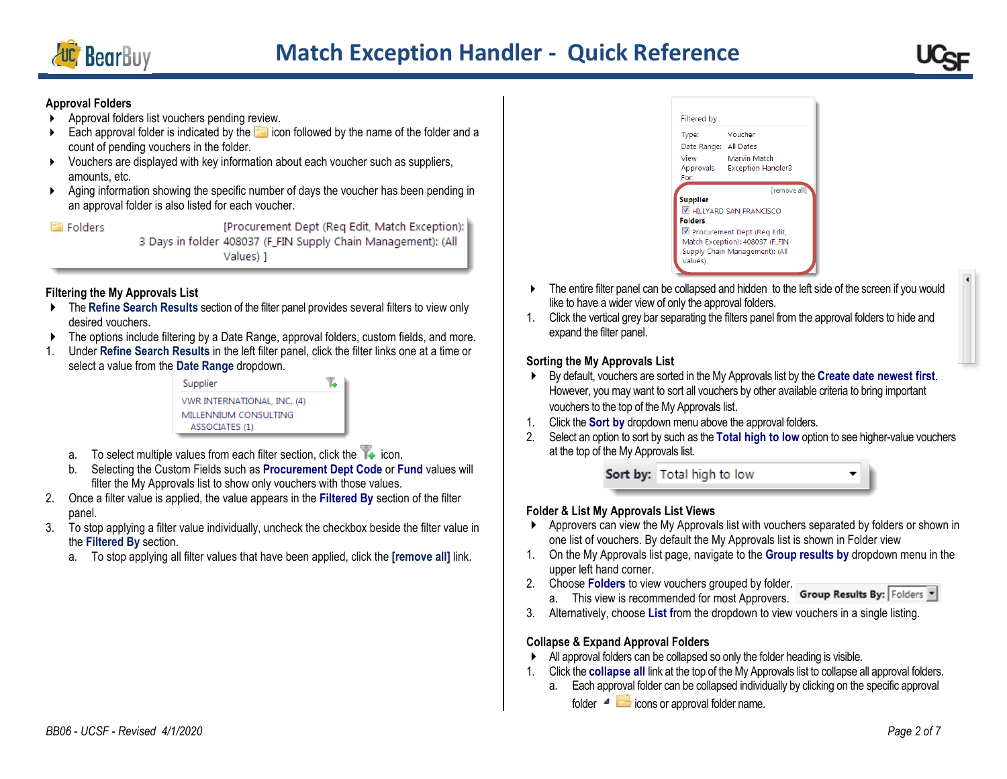

### **Approval Folders**

- Approval folders list vouchers pending review.
- $\triangleright$  Each approval folder is indicated by the  $\blacksquare$  icon followed by the name of the folder and a count of pending vouchers in the folder.
- Vouchers are displayed with key information about each voucher such as suppliers, amounts, etc.
- Aging information showing the specific number of days the voucher has been pending in an approval folder is also listed for each voucher.

**El Folders** 

[Procurement Dept (Reg Edit, Match Exception): 3 Days in folder 408037 (F\_FIN Supply Chain Management): (All Values) 1

## **Filtering the My Approvals List**

- The **Refine Search Results** section of the filter panel provides several filters to view only desired vouchers.
- ▶ The options include filtering by a Date Range, approval folders, custom fields, and more.
- 1. Under **Refine Search Results** in the left filter panel, click the filter links one at a time or select a value from the **Date Range** dropdown.



- a. To select multiple values from each filter section, click the  $\blacktriangleright$  icon.
- b. Selecting the Custom Fields such as **Procurement Dept Code** or **Fund** values will filter the My Approvals list to show only vouchers with those values.
- 2. Once a filter value is applied, the value appears in the **Filtered By** section of the filter panel.
- 3. To stop applying a filter value individually, uncheck the checkbox beside the filter value in the **Filtered By** section.
	- a. To stop applying all filter values that have been applied, click the **[remove all]** link.



- $\triangleright$  The entire filter panel can be collapsed and hidden to the left side of the screen if you would like to have a wider view of only the approval folders.
- 1. Click the vertical grey bar separating the filters panel from the approval folders to hide and expand the filter panel.

## **Sorting the My Approvals List**

- By default, vouchers are sorted in the My Approvals list by the **Create date newest first**. However, you may want to sort all vouchers by other available criteria to bring important vouchers to the top of the My Approvals list.
- 1. Click the **Sort by** dropdown menu above the approval folders.
- 2. Select an option to sort by such as the **Total high to low** option to see higher-value vouchers at the top of the My Approvals list.

Sort by: Total high to low

## **Folder & List My Approvals List Views**

- Approvers can view the My Approvals list with vouchers separated by folders or shown in one list of vouchers. By default the My Approvals list is shown in Folder view
- 1. On the My Approvals list page, navigate to the **Group results by** dropdown menu in the upper left hand corner.
- 2. Choose **Folders** to view vouchers grouped by folder. a. This view is recommended for most Approvers.
	- Group Results By: Folders
- 3. Alternatively, choose **List f**rom the dropdown to view vouchers in a single listing.

## **Collapse & Expand Approval Folders**

- All approval folders can be collapsed so only the folder heading is visible.
- 1. Click the **collapse all** link at the top of the My Approvals list to collapse all approval folders.
	- a. Each approval folder can be collapsed individually by clicking on the specific approval folder  $\blacksquare$  icons or approval folder name.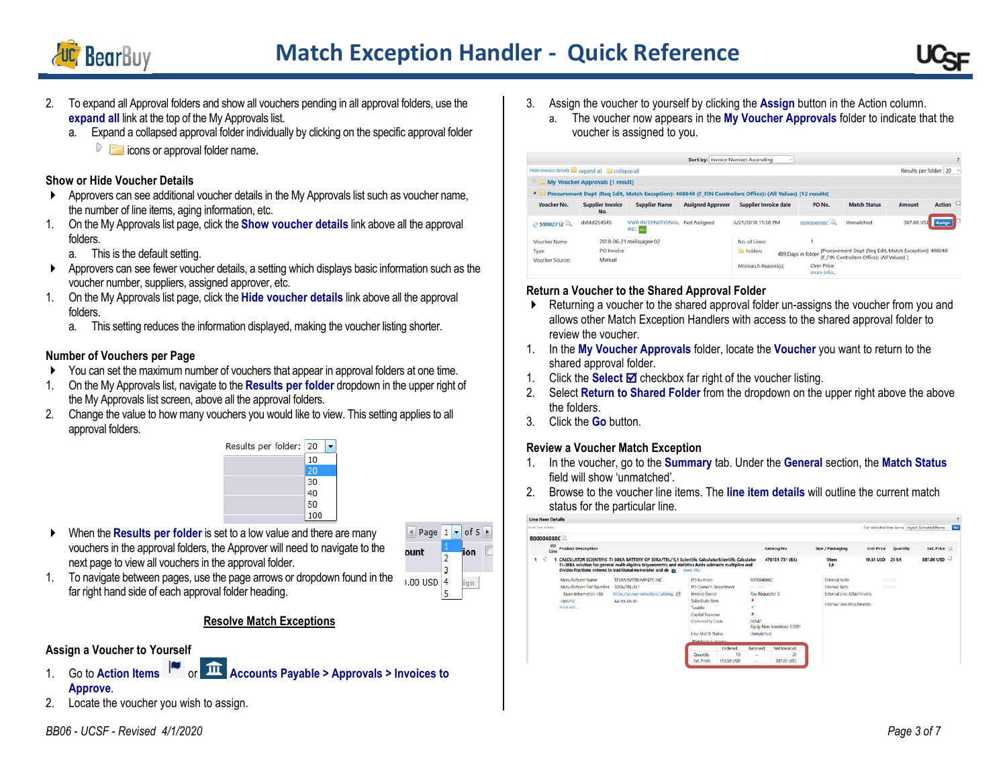



- 2. To expand all Approval folders and show all vouchers pending in all approval folders, use the **expand all** link at the top of the My Approvals list.
	- a. Expand a collapsed approval folder individually by clicking on the specific approval folder
		- $\triangleright$   $\blacksquare$  icons or approval folder name.

## **Show or Hide Voucher Details**

- Approvers can see additional voucher details in the My Approvals list such as voucher name, the number of line items, aging information, etc.
- 1. On the My Approvals list page, click the **Show voucher details** link above all the approval folders.
	- a. This is the default setting.
- Approvers can see fewer voucher details, a setting which displays basic information such as the voucher number, suppliers, assigned approver, etc.
- 1. On the My Approvals list page, click the **Hide voucher details** link above all the approval folders.
	- a. This setting reduces the information displayed, making the voucher listing shorter.

## **Number of Vouchers per Page**

- You can set the maximum number of vouchers that appear in approval folders at one time.
- 1. On the My Approvals list, navigate to the **Results per folder** dropdown in the upper right of the My Approvals list screen, above all the approval folders.
- 2. Change the value to how many vouchers you would like to view. This setting applies to all approval folders.



 When the **Results per folder** is set to a low value and there are many vouchers in the approval folders, the Approver will need to navigate to the next page to view all vouchers in the approval folder.



1. To navigate between pages, use the page arrows or dropdown found in the far right hand side of each approval folder heading.

## **Resolve Match Exceptions**

# **Assign a Voucher to Yourself**

- 1. Go to Action Items **Accounts Payable > Approvals > Invoices to Approve**.
- 2. Locate the voucher you wish to assign.
- 3. Assign the voucher to yourself by clicking the **Assign** button in the Action column.
	- a. The voucher now appears in the **My Voucher Approvals** folder to indicate that the voucher is assigned to you.

|                                                 |                                                      |                                            | Sort by: Invoice Number Ascending | $\sim$                                                                                                     |                                                                                                     |                     |                        |          |
|-------------------------------------------------|------------------------------------------------------|--------------------------------------------|-----------------------------------|------------------------------------------------------------------------------------------------------------|-----------------------------------------------------------------------------------------------------|---------------------|------------------------|----------|
|                                                 | Hide invoice details are expand all and collapse all |                                            |                                   |                                                                                                            |                                                                                                     |                     | Results per folder: 20 |          |
| Đ.                                              | My Voucher Approvals [1 result]                      |                                            |                                   |                                                                                                            |                                                                                                     |                     |                        |          |
|                                                 |                                                      |                                            |                                   | Procurement Dept (Req Edit, Match Exception): 408040 (F FIN Controllers Office): (All Values) [12 results] |                                                                                                     |                     |                        |          |
| Voucher No.                                     | <b>Supplier Invoice</b><br>No.                       | <b>Supplier Name</b>                       | <b>Assigned Approver</b>          | Supplier Invoice date                                                                                      | PO No.                                                                                              | <b>Match Status</b> | Amount                 | Action L |
| S9002712                                        | dsfdsf254545                                         | <b><i>VWR INTERNATIONAL</i></b><br>INC. An | Not Assigned                      | 6/21/2018 11:58 PM                                                                                         | B00004088C                                                                                          | Unmatched           | 387,00 USD             | Assign   |
| Voucher Name                                    |                                                      | 2018-06-21 melissagee 02                   |                                   | No. of Lines:                                                                                              |                                                                                                     |                     |                        |          |
| PO Invoice<br>Type<br>Manual<br>Voucher Source: |                                                      |                                            | Folders                           | 489 Days in folder                                                                                         | [Procurement Dept (Reg Edit, Match Exception): 408040<br>(F FIN Controllers Office); (All Values) 1 |                     |                        |          |
|                                                 | 100 020 07 17                                        |                                            |                                   | Mismatch Reason(s):                                                                                        | Over Price<br>more info                                                                             |                     |                        |          |

# **Return a Voucher to the Shared Approval Folder**

- Returning a voucher to the shared approval folder un-assigns the voucher from you and allows other Match Exception Handlers with access to the shared approval folder to review the voucher.
- 1. In the **My Voucher Approvals** folder, locate the **Voucher** you want to return to the shared approval folder.
- 1. Click the **Select** ; checkbox far right of the voucher listing.
- 2. Select **Return to Shared Folder** from the dropdown on the upper right above the above the folders.
- 3. Click the **Go** button.

# **Review a Voucher Match Exception**

- 1. In the voucher, go to the **Summary** tab. Under the **General** section, the **Match Status** field will show 'unmatched'.
- 2. Browse to the voucher line items. The **line item details** will outline the current match status for the particular line.

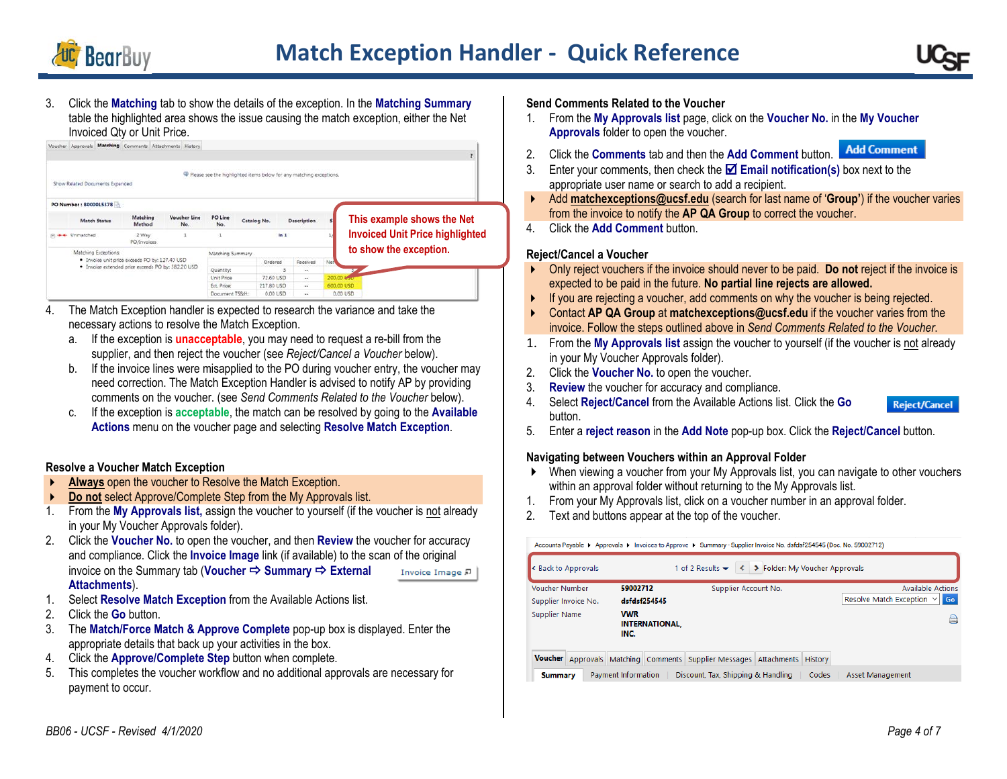

3. Click the **Matching** tab to show the details of the exception. In the **Matching Summary** table the highlighted area shows the issue causing the match exception, either the Net Invoiced Qty or Unit Price.

|                                                    | Show Related Documents Expanded |                      |                     | <sup>4</sup> Please see the highlighted items below for any matching exceptions. |             |        |                    |            |                                        |
|----------------------------------------------------|---------------------------------|----------------------|---------------------|----------------------------------------------------------------------------------|-------------|--------|--------------------|------------|----------------------------------------|
|                                                    | PO Number: B000015378           |                      |                     |                                                                                  |             |        |                    |            |                                        |
|                                                    | <b>Match Status</b>             | Matching<br>Method   | Voucher Line<br>No. | PO Line<br>No.                                                                   | Catalog No. |        | <b>Description</b> |            | This example shows the Net             |
|                                                    | (a) + + Unmatched               | 2 Way<br>PO/Invoices |                     | ln 1                                                                             |             |        |                    |            | <b>Invoiced Unit Price highlighted</b> |
|                                                    | Matching Exceptions:            |                      |                     | Matching Summary                                                                 |             |        |                    |            | to show the exception.                 |
| . Invoice unit price exceeds PO by: 127.40 USD     |                                 |                      | Ordered             |                                                                                  | Received    | Net    |                    |            |                                        |
| · Invoice extended price exceeds PO by: 382.20 USD |                                 |                      |                     | Quantity:                                                                        |             |        | $\sim$             |            |                                        |
|                                                    |                                 |                      | Unit Price          | 72.60 USD                                                                        |             | $\sim$ | 200.00 MHz         |            |                                        |
|                                                    |                                 |                      |                     | Ext. Price:                                                                      | 217.80 USD  |        | $\cdots$           | 600.00 USD |                                        |
|                                                    |                                 |                      |                     | Document TS&H:                                                                   | 0.00 USD    |        | <b>With</b>        | 0.00 USD   |                                        |

- 4. The Match Exception handler is expected to research the variance and take the necessary actions to resolve the Match Exception.
	- a. If the exception is **unacceptable**, you may need to request a re-bill from the supplier, and then reject the voucher (see *Reject/Cancel a Voucher* below).
	- b. If the invoice lines were misapplied to the PO during voucher entry, the voucher may need correction. The Match Exception Handler is advised to notify AP by providing comments on the voucher. (see *Send Comments Related to the Voucher* below).
	- c. If the exception is **acceptable**, the match can be resolved by going to the **Available Actions** menu on the voucher page and selecting **Resolve Match Exception**.

#### **Resolve a Voucher Match Exception**

- **Always** open the voucher to Resolve the Match Exception.
- **Do not** select Approve/Complete Step from the My Approvals list.
- 1. From the **My Approvals list,** assign the voucher to yourself (if the voucher is not already in your My Voucher Approvals folder).
- 2. Click the **Voucher No.** to open the voucher, and then **Review** the voucher for accuracy and compliance. Click the **Invoice Image** link (if available) to the scan of the original invoice on the Summary tab (Voucher  $\Rightarrow$  Summary  $\Rightarrow$  External Invoice Image 足 **Attachments**).
- 1. Select **Resolve Match Exception** from the Available Actions list.
- 2. Click the **Go** button.
- 3. The **Match/Force Match & Approve Complete** pop-up box is displayed. Enter the appropriate details that back up your activities in the box.
- 4. Click the **Approve/Complete Step** button when complete.
- 5. This completes the voucher workflow and no additional approvals are necessary for payment to occur.

#### **Send Comments Related to the Voucher**

- 1. From the **My Approvals list** page, click on the **Voucher No.** in the **My Voucher Approvals** folder to open the voucher.
- **Add Comment** 2. Click the **Comments** tab and then the **Add Comment** button.
- 3. Enter your comments, then check the **⊠ Email notification(s)** box next to the appropriate user name or search to add a recipient.
- Add **[matchexceptions@ucsf.edu](mailto:matchexceptions@ucsf.edu)** (search for last name of '**Group'**) if the voucher varies from the invoice to notify the **AP QA Group** to correct the voucher.
- 4. Click the **Add Comment** button.

## **Reject/Cancel a Voucher**

- Only reject vouchers if the invoice should never to be paid. **Do not** reject if the invoice is expected to be paid in the future. **No partial line rejects are allowed.**
- If you are rejecting a voucher, add comments on why the voucher is being rejected.
- Contact **AP QA Group** at **[matchexceptions@ucsf.edu](mailto:matchexceptions@ucsf.edu)** if the voucher varies from the invoice. Follow the steps outlined above in *Send Comments Related to the Voucher*.
- 1. From the **My Approvals list** assign the voucher to yourself (if the voucher is not already in your My Voucher Approvals folder).
- 2. Click the **Voucher No.** to open the voucher.
- 3. **Review** the voucher for accuracy and compliance.
- 4. Select **Reject/Cancel** from the Available Actions list. Click the **Go** button.



5. Enter a **reject reason** in the **Add Note** pop-up box. Click the **Reject/Cancel** button.

#### **Navigating between Vouchers within an Approval Folder**

- When viewing a voucher from your My Approvals list, you can navigate to other vouchers within an approval folder without returning to the My Approvals list.
- 1. From your My Approvals list, click on a voucher number in an approval folder.
- 2. Text and buttons appear at the top of the voucher.

Accounts Payable ▶ Approvals ▶ Invoices to Approve ▶ Summary - Supplier Invoice No. dsfdsf254545 (Doc. No. 59002712)

| Reack to Approvals                                                        |                     |                       | 1 of 2 Results $\blacktriangleright$ | ← ▶ Folder: My Voucher Approvals |       |                                   |
|---------------------------------------------------------------------------|---------------------|-----------------------|--------------------------------------|----------------------------------|-------|-----------------------------------|
| <b>Voucher Number</b>                                                     | 59002712            |                       | Supplier Account No.                 |                                  |       | <b>Available Actions</b>          |
| Supplier Invoice No.                                                      | dsfdsf254545        |                       |                                      |                                  |       | Resolve Match Exception $\vee$ Go |
| Supplier Name                                                             | <b>VWR</b><br>INC.  | <b>INTERNATIONAL.</b> |                                      |                                  |       |                                   |
| Voucher Approvals Matching Comments Supplier Messages Attachments History |                     |                       |                                      |                                  |       |                                   |
| <b>Summary</b>                                                            | Payment Information |                       | Discount, Tax, Shipping & Handling   |                                  | Codes | Asset Management                  |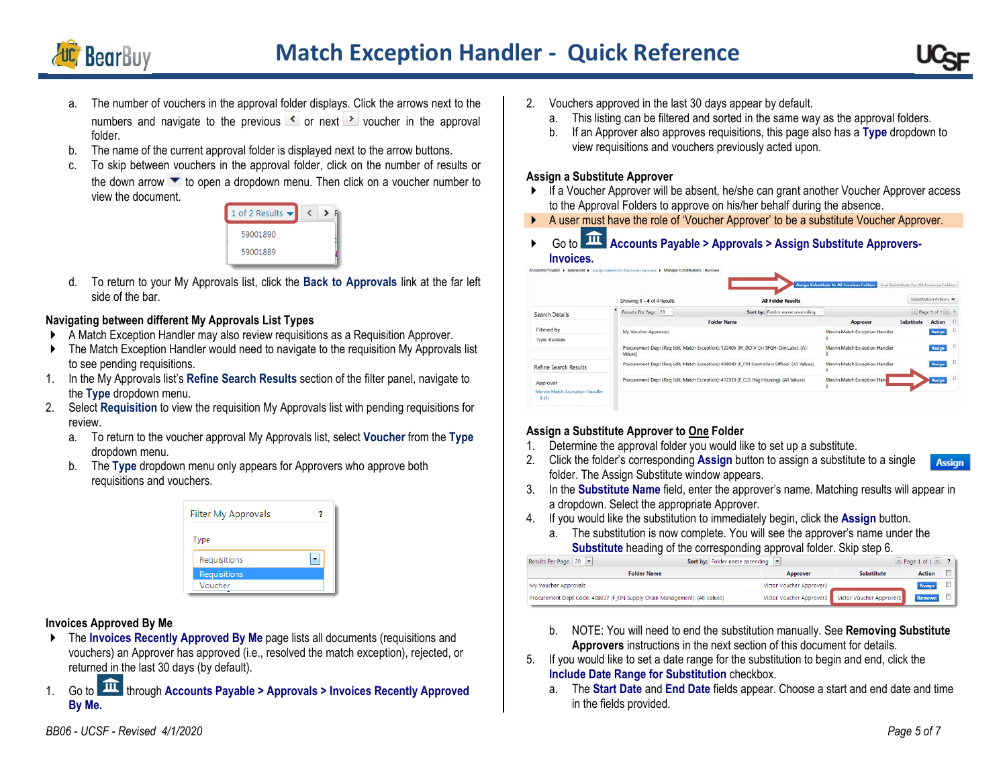



- a. The number of vouchers in the approval folder displays. Click the arrows next to the numbers and navigate to the previous  $\leq$  or next  $\geq$  voucher in the approval folder.
- b. The name of the current approval folder is displayed next to the arrow buttons.
- To skip between vouchers in the approval folder, click on the number of results or the down arrow  $\bullet$  to open a dropdown menu. Then click on a voucher number to view the document.



d. To return to your My Approvals list, click the **Back to Approvals** link at the far left side of the bar.

## **Navigating between different My Approvals List Types**

- A Match Exception Handler may also review requisitions as a Requisition Approver.
- ▶ The Match Exception Handler would need to navigate to the requisition My Approvals list to see pending requisitions.
- 1. In the My Approvals list's **Refine Search Results** section of the filter panel, navigate to the **Type** dropdown menu.
- 2. Select **Requisition** to view the requisition My Approvals list with pending requisitions for review.
	- a. To return to the voucher approval My Approvals list, select **Voucher** from the **Type** dropdown menu.
	- b. The **Type** dropdown menu only appears for Approvers who approve both requisitions and vouchers.

| Filter My Approvals |  |
|---------------------|--|
| Type                |  |
| Requisitions        |  |
| <b>Requisitions</b> |  |
| Voucher             |  |

## **Invoices Approved By Me**

- ▶ The **Invoices Recently Approved By Me** page lists all documents (requisitions and vouchers) an Approver has approved (i.e., resolved the match exception), rejected, or returned in the last 30 days (by default).
- 1. Go to  $\widehat{11}$  through Accounts Payable > Approvals > Invoices Recently Approved **By Me.**
- 2. Vouchers approved in the last 30 days appear by default.
	- a. This listing can be filtered and sorted in the same way as the approval folders.
	- b. If an Approver also approves requisitions, this page also has a **Type** dropdown to view requisitions and vouchers previously acted upon.

#### **Assign a Substitute Approver**

- ▶ If a Voucher Approver will be absent, he/she can grant another Voucher Approver access to the Approval Folders to approve on his/her behalf during the absence.
- A user must have the role of 'Voucher Approver' to be a substitute Voucher Approver.
- ▶ Go to **Accounts Payable > Approvals > Assign Substitute Approvers-Invoices.**

|                                        |                            |                                                                                               | Assign Substitute to All Invoices Folders | End Substitute for All Invoices Folders |                       |        |
|----------------------------------------|----------------------------|-----------------------------------------------------------------------------------------------|-------------------------------------------|-----------------------------------------|-----------------------|--------|
|                                        | Showing 1 - 4 of 4 Results | <b>All Folder Results</b>                                                                     |                                           |                                         | Sabstitution Actions  |        |
| Search Details                         | Results Per Page 20 -      | Sort by: Folder name ascending -                                                              |                                           |                                         | $A$ Page 1 of 1 $R$ ? |        |
|                                        |                            | <b>Folder Name</b>                                                                            | Approver                                  | Substitute                              | Action                | $\Box$ |
| Filtered by                            | My Voucher Approvals       |                                                                                               | Marvin Match Exception Handler            |                                         | Assign                | $\Box$ |
| Type: Invoices                         |                            |                                                                                               |                                           |                                         |                       |        |
|                                        | Values)                    | Procurement Dept (Reg Edit, Match Exception): 122406 (M_DO-V Dn SFGH-Clin Labs): (All         | Marvin Match Exception Handler            |                                         | Assign                | $\Box$ |
| Refine Search Results                  |                            | Procurement Dept (Reg Edit, Match Exception): 408040 (F FIN Controllers Office): (All Values) | Marvin Match Exception Handler            |                                         | Assign                | o      |
| Approver                               |                            | Procurement Dept (Reg Edit, Match Exception): 412310 (F_CLS Hsg Housing): (All Values)        | Marvin Match Exception Hand               |                                         | <b>Assign</b>         | $\Box$ |
| Marvin Match Exception Handler<br>3(4) |                            |                                                                                               |                                           |                                         |                       |        |

## **Assign a Substitute Approver to One Folder**

- 1. Determine the approval folder you would like to set up a substitute.
- 2. Click the folder's corresponding **Assign** button to assign a substitute to a single **Assian** folder. The Assign Substitute window appears.
- 3. In the **Substitute Name** field, enter the approver's name. Matching results will appear in a dropdown. Select the appropriate Approver.
- 4. If you would like the substitution to immediately begin, click the **Assign** button.
	- a. The substitution is now complete. You will see the approver's name under the **Substitute** heading of the corresponding approval folder. Skip step 6.

| Sort by: Folder name ascending  <br>Results Per Page   20                   |                          |                                                   | Page 1 of $1 \times$ ? |  |
|-----------------------------------------------------------------------------|--------------------------|---------------------------------------------------|------------------------|--|
| <b>Folder Name</b>                                                          | Approver                 | <b>Substitute</b>                                 | <b>Action</b>          |  |
| My Voucher Approvals                                                        | Victor Voucher Approver3 |                                                   | <b>Assign</b>          |  |
| Procurement Dept Code: 408037 (F FIN Supply Chain Management): (All Values) |                          | Victor Voucher Approver3 Victor Voucher Approver1 | Remove                 |  |

- b. NOTE: You will need to end the substitution manually. See **Removing Substitute Approvers** instructions in the next section of this document for details.
- 5. If you would like to set a date range for the substitution to begin and end, click the **Include Date Range for Substitution** checkbox.
	- a. The **Start Date** and **End Date** fields appear. Choose a start and end date and time in the fields provided.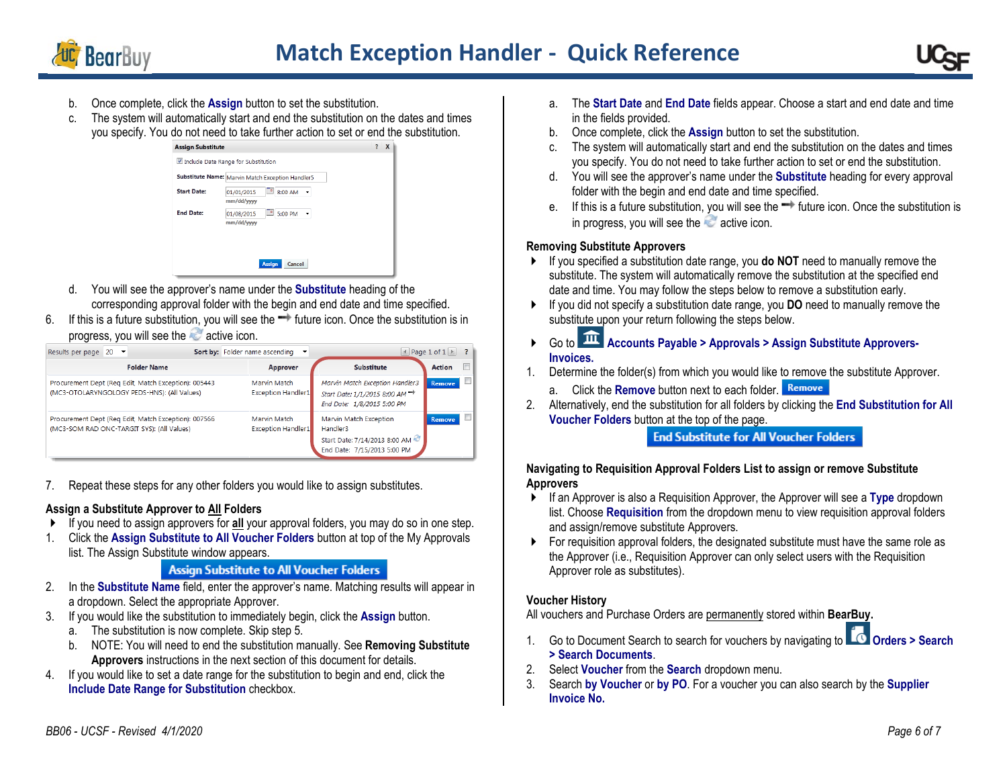

# **Match Exception Handler - Quick Reference**



- b. Once complete, click the **Assign** button to set the substitution.
- c. The system will automatically start and end the substitution on the dates and times you specify. You do not need to take further action to set or end the substitution.



- d. You will see the approver's name under the **Substitute** heading of the corresponding approval folder with the begin and end date and time specified.
- 6. If this is a future substitution, you will see the  $\rightarrow$  future icon. Once the substitution is in progress, you will see the active icon.

| Results per page $20$ $\blacktriangleright$                                                         | Sort by: Folder name ascending            |                                                                                                            | ■ Page 1 of 1 | $\overline{?}$ |
|-----------------------------------------------------------------------------------------------------|-------------------------------------------|------------------------------------------------------------------------------------------------------------|---------------|----------------|
| <b>Folder Name</b>                                                                                  | Approver                                  | <b>Substitute</b>                                                                                          | Action        | $\Box$         |
| Procurement Dept (Reg Edit, Match Exception): 005443<br>(MC3-OTOLARYNGOLOGY PEDS-HNS): (All Values) | Marvin Match<br><b>Exception Handler1</b> | Marvin Match Exception Handler3<br>Start Date: 1/1/2015 8:00 AM <sup>→</sup><br>End Date: 1/8/2015 5:00 PM | <b>Remove</b> |                |
| Procurement Dept (Req Edit, Match Exception): 007566<br>(MC3-SOM RAD ONC-TARGIT SYS): (All Values)  | Marvin Match<br><b>Exception Handler1</b> | Marvin Match Exception<br>Handler3<br>Start Date: 7/14/2013 8:00 AM<br>End Date: 7/15/2013 5:00 PM         | Remove.       | m              |

7. Repeat these steps for any other folders you would like to assign substitutes.

#### **Assign a Substitute Approver to All Folders**

- If you need to assign approvers for **all** your approval folders, you may do so in one step.
- 1. Click the **Assign Substitute to All Voucher Folders** button at top of the My Approvals list. The Assign Substitute window appears.

# **Assign Substitute to All Voucher Folders**

- 2. In the **Substitute Name** field, enter the approver's name. Matching results will appear in a dropdown. Select the appropriate Approver.
- 3. If you would like the substitution to immediately begin, click the **Assign** button.
	- a. The substitution is now complete. Skip step 5.
	- b. NOTE: You will need to end the substitution manually. See **Removing Substitute Approvers** instructions in the next section of this document for details.
- 4. If you would like to set a date range for the substitution to begin and end, click the **Include Date Range for Substitution** checkbox.
- a. The **Start Date** and **End Date** fields appear. Choose a start and end date and time in the fields provided.
- b. Once complete, click the **Assign** button to set the substitution.
- c. The system will automatically start and end the substitution on the dates and times you specify. You do not need to take further action to set or end the substitution.
- d. You will see the approver's name under the **Substitute** heading for every approval folder with the begin and end date and time specified.
- e. If this is a future substitution, you will see the  $\rightarrow$  future icon. Once the substitution is in progress, you will see the  $\sim$  active icon.

## **Removing Substitute Approvers**

- If you specified a substitution date range, you **do NOT** need to manually remove the substitute. The system will automatically remove the substitution at the specified end date and time. You may follow the steps below to remove a substitution early.
- If you did not specify a substitution date range, you **DO** need to manually remove the substitute upon your return following the steps below.
- ▶ Go to **111** Accounts Payable > Approvals > Assign Substitute Approvers-**Invoices.**
- 1. Determine the folder(s) from which you would like to remove the substitute Approver.
	- a. Click the **Remove** button next to each folder.
- 2. Alternatively, end the substitution for all folders by clicking the **End Substitution for All Voucher Folders** button at the top of the page.

## **End Substitute for All Voucher Folders**

#### **Navigating to Requisition Approval Folders List to assign or remove Substitute Approvers**

- If an Approver is also a Requisition Approver, the Approver will see a **Type** dropdown list. Choose **Requisition** from the dropdown menu to view requisition approval folders and assign/remove substitute Approvers.
- **For requisition approval folders, the designated substitute must have the same role as** the Approver (i.e., Requisition Approver can only select users with the Requisition Approver role as substitutes).

## **Voucher History**

All vouchers and Purchase Orders are permanently stored within **BearBuy.**

- 1. Go to Document Search to search for vouchers by navigating to **CO** Orders > Search **> Search Documents**.
- 2. Select **Voucher** from the **Search** dropdown menu.
- 3. Search **by Voucher** or **by PO**. For a voucher you can also search by the **Supplier Invoice No.**